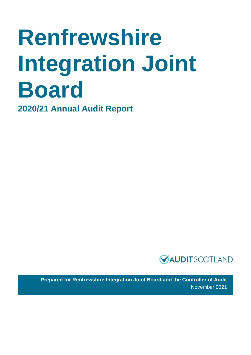# **Renfrewshire Integration Joint Board**

**2020/21 Annual Audit Report**



**Prepared for Renfrewshire Integration Joint Board and the Controller of Audit**  November 2021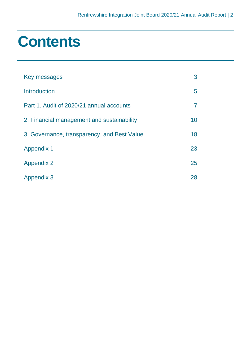### **Contents**

| Key messages                                | 3  |
|---------------------------------------------|----|
| <b>Introduction</b>                         | 5  |
| Part 1. Audit of 2020/21 annual accounts    | 7  |
| 2. Financial management and sustainability  | 10 |
| 3. Governance, transparency, and Best Value | 18 |
| <b>Appendix 1</b>                           | 23 |
| <b>Appendix 2</b>                           | 25 |
| <b>Appendix 3</b>                           | 28 |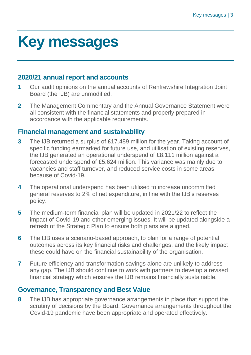## <span id="page-2-0"></span>**Key messages**

#### **2020/21 annual report and accounts**

- **1** Our audit opinions on the annual accounts of Renfrewshire Integration Joint Board (the IJB) are unmodified.
- **2** The Management Commentary and the Annual Governance Statement were all consistent with the financial statements and properly prepared in accordance with the applicable requirements.

#### **Financial management and sustainability**

- **3** The IJB returned a surplus of £17.489 million for the year. Taking account of specific funding earmarked for future use, and utilisation of existing reserves, the IJB generated an operational underspend of £8.111 million against a forecasted underspend of £5.624 million. This variance was mainly due to vacancies and staff turnover, and reduced service costs in some areas because of Covid-19.
- **4** The operational underspend has been utilised to increase uncommitted general reserves to 2% of net expenditure, in line with the IJB's reserves policy.
- **5** The medium-term financial plan will be updated in 2021/22 to reflect the impact of Covid-19 and other emerging issues. It will be updated alongside a refresh of the Strategic Plan to ensure both plans are aligned.
- **6** The IJB uses a scenario-based approach, to plan for a range of potential outcomes across its key financial risks and challenges, and the likely impact these could have on the financial sustainability of the organisation.
- **7** Future efficiency and transformation savings alone are unlikely to address any gap. The IJB should continue to work with partners to develop a revised financial strategy which ensures the IJB remains financially sustainable.

### **Governance, Transparency and Best Value**

**8** The IJB has appropriate governance arrangements in place that support the scrutiny of decisions by the Board. Governance arrangements throughout the Covid-19 pandemic have been appropriate and operated effectively.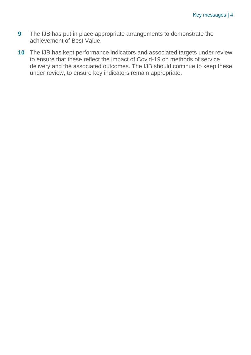- **9** The IJB has put in place appropriate arrangements to demonstrate the achievement of Best Value.
- **10** The IJB has kept performance indicators and associated targets under review to ensure that these reflect the impact of Covid-19 on methods of service delivery and the associated outcomes. The IJB should continue to keep these under review, to ensure key indicators remain appropriate.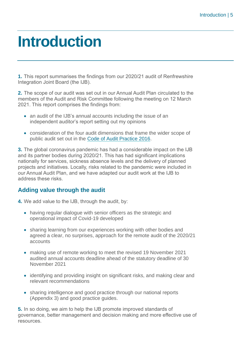### <span id="page-4-0"></span>**Introduction**

**1.** This report summarises the findings from our 2020/21 audit of Renfrewshire Integration Joint Board (the IJB).

**2.** The scope of our audit was set out in our Annual Audit Plan circulated to the members of the Audit and Risk Committee following the meeting on 12 March 2021. This report comprises the findings from:

- an audit of the IJB's annual accounts including the issue of an independent auditor's report setting out my opinions
- consideration of the four audit dimensions that frame the wider scope of public audit set out in the [Code of Audit Practice 2016.](http://www.audit-scotland.gov.uk/report/code-of-audit-practice-2016)

**3.** The global coronavirus pandemic has had a considerable impact on the IJB and its partner bodies during 2020/21. This has had significant implications nationally for services, sickness absence levels and the delivery of planned projects and initiatives. Locally, risks related to the pandemic were included in our Annual Audit Plan, and we have adapted our audit work at the IJB to address these risks.

#### **Adding value through the audit**

**4.** We add value to the IJB, through the audit, by:

- having regular dialogue with senior officers as the strategic and operational impact of Covid-19 developed
- sharing learning from our experiences working with other bodies and agreed a clear, no surprises, approach for the remote audit of the 2020/21 accounts
- making use of remote working to meet the revised 19 November 2021 audited annual accounts deadline ahead of the statutory deadline of 30 November 2021
- identifying and providing insight on significant risks, and making clear and relevant recommendations
- sharing intelligence and good practice through our national reports [\(Appendix 3\)](#page-27-0) and good practice guides.

**5.** In so doing, we aim to help the IJB promote improved standards of governance, better management and decision making and more effective use of resources.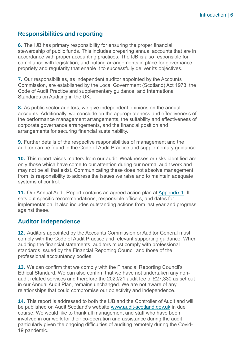#### **Responsibilities and reporting**

**6.** The IJB has primary responsibility for ensuring the proper financial stewardship of public funds. This includes preparing annual accounts that are in accordance with proper accounting practices. The IJB is also responsible for compliance with legislation, and putting arrangements in place for governance, propriety and regularity that enable it to successfully deliver its objectives.

**7.** Our responsibilities, as independent auditor appointed by the Accounts Commission, are established by the Local Government (Scotland) Act 1973, the Code of Audit Practice and supplementary guidance, and International Standards on Auditing in the UK.

**8.** As public sector auditors, we give independent opinions on the annual accounts. Additionally, we conclude on the appropriateness and effectiveness of the performance management arrangements, the suitability and effectiveness of corporate governance arrangements, and the financial position and arrangements for securing financial sustainability.

**9.** Further details of the respective responsibilities of management and the auditor can be found in the Code of Audit Practice and supplementary guidance.

**10.** This report raises matters from our audit. Weaknesses or risks identified are only those which have come to our attention during our normal audit work and may not be all that exist. Communicating these does not absolve management from its responsibility to address the issues we raise and to maintain adequate systems of control.

**11.** Our Annual Audit Report contains an agreed action plan at [Appendix 1.](#page-22-0) It sets out specific recommendations, responsible officers, and dates for implementation. It also includes outstanding actions from last year and progress against these.

#### **Auditor Independence**

**12.** Auditors appointed by the Accounts Commission or Auditor General must comply with the Code of Audit Practice and relevant supporting guidance. When auditing the financial statements, auditors must comply with professional standards issued by the Financial Reporting Council and those of the professional accountancy bodies.

**13.** We can confirm that we comply with the Financial Reporting Council's Ethical Standard. We can also confirm that we have not undertaken any nonaudit related services and therefore the 2020/21 audit fee of £27,330 as set out in our Annual Audit Plan, remains unchanged. We are not aware of any relationships that could compromise our objectivity and independence.

**14.** This report is addressed to both the IJB and the Controller of Audit and will be published on Audit Scotland's website [www.audit-scotland.gov.uk](http://www.audit-scotland.gov.uk/) in due course. We would like to thank all management and staff who have been involved in our work for their co-operation and assistance during the audit particularly given the ongoing difficulties of auditing remotely during the Covid-19 pandemic.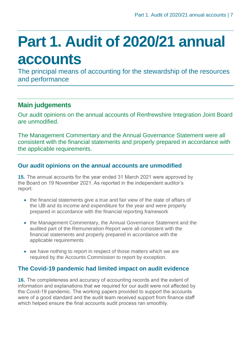## <span id="page-6-0"></span>**Part 1. Audit of 2020/21 annual accounts**

The principal means of accounting for the stewardship of the resources and performance

### **Main judgements**

Our audit opinions on the annual accounts of Renfrewshire Integration Joint Board are unmodified.

The Management Commentary and the Annual Governance Statement were all consistent with the financial statements and properly prepared in accordance with the applicable requirements.

#### **Our audit opinions on the annual accounts are unmodified**

**15.** The annual accounts for the year ended 31 March 2021 were approved by the Board on 19 November 2021. As reported in the independent auditor's report:

- the financial statements give a true and fair view of the state of affairs of the IJB and its income and expenditure for the year and were properly prepared in accordance with the financial reporting framework
- the Management Commentary, the Annual Governance Statement and the audited part of the Remuneration Report were all consistent with the financial statements and properly prepared in accordance with the applicable requirements
- we have nothing to report in respect of those matters which we are required by the Accounts Commission to report by exception.

#### **The Covid-19 pandemic had limited impact on audit evidence**

**16.** The completeness and accuracy of accounting records and the extent of information and explanations that we required for our audit were not affected by the Covid-19 pandemic. The working papers provided to support the accounts were of a good standard and the audit team received support from finance staff which helped ensure the final accounts audit process ran smoothly.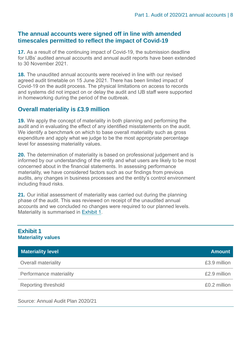#### **The annual accounts were signed off in line with amended timescales permitted to reflect the impact of Covid-19**

**17.** As a result of the continuing impact of Covid-19, the submission deadline for IJBs' audited annual accounts and annual audit reports have been extended to 30 November 2021.

**18.** The unaudited annual accounts were received in line with our revised agreed audit timetable on 15 June 2021. There has been limited impact of Covid-19 on the audit process. The physical limitations on access to records and systems did not impact on or delay the audit and IJB staff were supported in homeworking during the period of the outbreak.

#### **Overall materiality is £3.9 million**

**19.** We apply the concept of materiality in both planning and performing the audit and in evaluating the effect of any identified misstatements on the audit. We identify a benchmark on which to base overall materiality such as gross expenditure and apply what we judge to be the most appropriate percentage level for assessing materiality values.

**20.** The determination of materiality is based on professional judgement and is informed by our understanding of the entity and what users are likely to be most concerned about in the financial statements. In assessing performance materiality, we have considered factors such as our findings from previous audits, any changes in business processes and the entity's control environment including fraud risks.

**21.** Our initial assessment of materiality was carried out during the planning phase of the audit. This was reviewed on receipt of the unaudited annual accounts and we concluded no changes were required to our planned levels. Materiality is summarised in [Exhibit 1.](#page-7-0)

<span id="page-7-0"></span>

| <b>Exhibit 1</b><br><b>Materiality values</b> |               |
|-----------------------------------------------|---------------|
| <b>Materiality level</b>                      | <b>Amount</b> |
| <b>Overall materiality</b>                    | £3.9 million  |
| Performance materiality                       | £2.9 million  |
| Reporting threshold                           | £0.2 million  |

Source: Annual Audit Plan 2020/21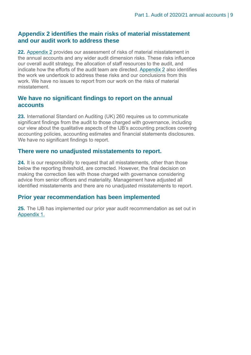#### **Appendix 2 identifies the main risks of material misstatement and our audit work to address these**

**22.** [Appendix 2](#page-24-0) provides our assessment of risks of material misstatement in the annual accounts and any wider audit dimension risks. These risks influence our overall audit strategy, the allocation of staff resources to the audit, and indicate how the efforts of the audit team are directed. [Appendix 2](#page-24-0) also identifies the work we undertook to address these risks and our conclusions from this work. We have no issues to report from our work on the risks of material misstatement.

#### **We have no significant findings to report on the annual accounts**

**23.** International Standard on Auditing (UK) 260 requires us to communicate significant findings from the audit to those charged with governance, including our view about the qualitative aspects of the IJB's accounting practices covering accounting policies, accounting estimates and financial statements disclosures. We have no significant findings to report.

#### **There were no unadjusted misstatements to report.**

**24.** It is our responsibility to request that all misstatements, other than those below the reporting threshold, are corrected. However, the final decision on making the correction lies with those charged with governance considering advice from senior officers and materiality. Management have adjusted all identified misstatements and there are no unadjusted misstatements to report.

#### **Prior year recommendation has been implemented**

**25.** The IJB has implemented our prior year audit recommendation as set out in [Appendix 1.](#page-22-0)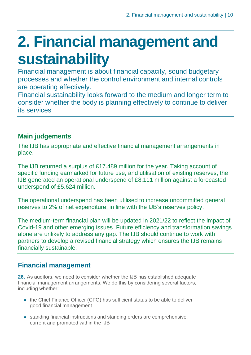## <span id="page-9-0"></span>**2. Financial management and sustainability**

Financial management is about financial capacity, sound budgetary processes and whether the control environment and internal controls are operating effectively.

Financial sustainability looks forward to the medium and longer term to consider whether the body is planning effectively to continue to deliver its services

### **Main judgements**

The IJB has appropriate and effective financial management arrangements in place.

The IJB returned a surplus of £17.489 million for the year. Taking account of specific funding earmarked for future use, and utilisation of existing reserves, the IJB generated an operational underspend of £8.111 million against a forecasted underspend of £5.624 million.

The operational underspend has been utilised to increase uncommitted general reserves to 2% of net expenditure, in line with the IJB's reserves policy.

The medium-term financial plan will be updated in 2021/22 to reflect the impact of Covid-19 and other emerging issues. Future efficiency and transformation savings alone are unlikely to address any gap. The IJB should continue to work with partners to develop a revised financial strategy which ensures the IJB remains financially sustainable.

### **Financial management**

**26.** As auditors, we need to consider whether the IJB has established adequate financial management arrangements. We do this by considering several factors, including whether:

- the Chief Finance Officer (CFO) has sufficient status to be able to deliver good financial management
- standing financial instructions and standing orders are comprehensive, current and promoted within the IJB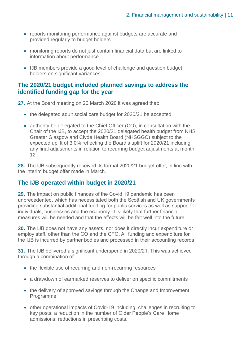- reports monitoring performance against budgets are accurate and provided regularly to budget holders
- monitoring reports do not just contain financial data but are linked to information about performance
- IJB members provide a good level of challenge and question budget holders on significant variances.

#### **The 2020/21 budget included planned savings to address the identified funding gap for the year**

**27.** At the Board meeting on 20 March 2020 it was agreed that:

- the delegated adult social care budget for 2020/21 be accepted
- authority be delegated to the Chief Officer (CO), in consultation with the Chair of the IJB, to accept the 2020/21 delegated health budget from NHS Greater Glasgow and Clyde Health Board (NHSGGC) subject to the expected uplift of 3.0% reflecting the Board's uplift for 2020/21 including any final adjustments in relation to recurring budget adjustments at month 12.

**28.** The IJB subsequently received its formal 2020/21 budget offer, in line with the interim budget offer made in March.

#### **The IJB operated within budget in 2020/21**

**29.** The impact on public finances of the Covid 19 pandemic has been unprecedented, which has necessitated both the Scottish and UK governments providing substantial additional funding for public services as well as support for individuals, businesses and the economy. It is likely that further financial measures will be needed and that the effects will be felt well into the future.

**30.** The IJB does not have any assets, nor does it directly incur expenditure or employ staff, other than the CO and the CFO. All funding and expenditure for the IJB is incurred by partner bodies and processed in their accounting records.

**31.** The IJB delivered a significant underspend in 2020/21. This was achieved through a combination of:

- the flexible use of recurring and non-recurring resources
- a drawdown of earmarked reserves to deliver on specific commitments
- the delivery of approved savings through the Change and Improvement Programme
- other operational impacts of Covid-19 including; challenges in recruiting to key posts; a reduction in the number of Older People's Care Home admissions; reductions in prescribing costs.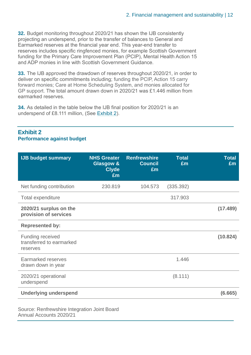**32.** Budget monitoring throughout 2020/21 has shown the IJB consistently projecting an underspend, prior to the transfer of balances to General and Earmarked reserves at the financial year end. This year-end transfer to reserves includes specific ringfenced monies, for example Scottish Government funding for the Primary Care Improvement Plan (PCIP), Mental Health Action 15 and ADP monies in line with Scottish Government Guidance.

**33.** The IJB approved the drawdown of reserves throughout 2020/21, in order to deliver on specific commitments including; funding the PCIP, Action 15 carry forward monies; Care at Home Scheduling System, and monies allocated for GP support. The total amount drawn down in 2020/21 was £1.446 million from earmarked reserves.

**34.** As detailed in the table below the IJB final position for 2020/21 is an underspend of £8.111 million, (See Exhibit 2).

| <b>IJB budget summary</b>                                       | <b>NHS Greater</b><br><b>Glasgow &amp;</b><br><b>Clyde</b><br>£m | <b>Renfrewshire</b><br><b>Council</b><br>£m | <b>Total</b><br>£m | <b>Total</b><br>£m |
|-----------------------------------------------------------------|------------------------------------------------------------------|---------------------------------------------|--------------------|--------------------|
| Net funding contribution                                        | 230.819                                                          | 104.573                                     | (335.392)          |                    |
| Total expenditure                                               |                                                                  |                                             | 317.903            |                    |
| 2020/21 surplus on the<br>provision of services                 |                                                                  |                                             |                    | (17.489)           |
| <b>Represented by:</b>                                          |                                                                  |                                             |                    |                    |
| <b>Funding received</b><br>transferred to earmarked<br>reserves |                                                                  |                                             |                    | (10.824)           |
| Earmarked reserves<br>drawn down in year                        |                                                                  |                                             | 1.446              |                    |
| 2020/21 operational<br>underspend                               |                                                                  |                                             | (8.111)            |                    |
| <b>Underlying underspend</b>                                    |                                                                  |                                             |                    | (6.665)            |
|                                                                 |                                                                  |                                             |                    |                    |

#### **Exhibit 2 Performance against budget**

Source: Renfrewshire Integration Joint Board Annual Accounts 2020/21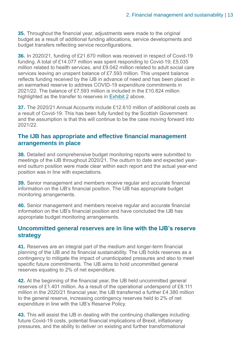**35.** Throughout the financial year, adjustments were made to the original budget as a result of additional funding allocations, service developments and budget transfers reflecting service reconfigurations.

**36.** In 2020/21, funding of £21.670 million was received in respect of Covid-19 funding. A total of £14.077 million was spent responding to Covid-19; £5.035 million related to health services, and £9.042 million related to adult social care services leaving an unspent balance of £7.593 million. This unspent balance reflects funding received by the IJB in advance of need and has been placed in an earmarked reserve to address COVID-19 expenditure commitments in 2021/22. The balance of £7.593 million is included in the £10.824 million highlighted as the transfer to reserves in Exhibit 2 above.

**37.** The 2020/21 Annual Accounts include £12.610 million of additional costs as a result of Covid-19. This has been fully funded by the Scottish Government and the assumption is that this will continue to be the case moving forward into 2021/22.

#### **The IJB has appropriate and effective financial management arrangements in place**

**38.** Detailed and comprehensive budget monitoring reports were submitted to meetings of the IJB throughout 2020/21. The outturn to date and expected yearend outturn position were made clear within each report and the actual year-end position was in line with expectations.

**39.** Senior management and members receive regular and accurate financial information on the IJB's financial position. The IJB has appropriate budget monitoring arrangements.

**40.** Senior management and members receive regular and accurate financial information on the IJB's financial position and have concluded the IJB has appropriate budget monitoring arrangements.

#### **Uncommitted general reserves are in line with the IJB's reserve strategy**

**41.** Reserves are an integral part of the medium and longer-term financial planning of the IJB and its financial sustainability. The IJB holds reserves as a contingency to mitigate the impact of unanticipated pressures and also to meet specific future commitments. The IJB aims to hold uncommitted general reserves equating to 2% of net expenditure.

**42.** At the beginning of the financial year, the IJB held uncommitted general reserves of £1.401 million. As a result of the operational underspend of £8.111 million in the 2020/21 financial year, the IJB transferred a further £4.380 million to the general reserve, increasing contingency reserves held to 2% of net expenditure in line with the IJB's Reserve Policy.

**43.** This will assist the IJB in dealing with the continuing challenges including future Covid-19 costs, potential financial implications of Brexit, inflationary pressures, and the ability to deliver on existing and further transformational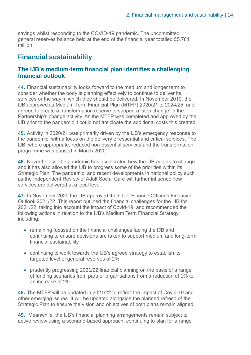savings whilst responding to the COVID-19 pandemic. The uncommitted general reserves balance held at the end of the financial year totalled £5.781 million.

#### **Financial sustainability**

#### **The IJB's medium-term financial plan identifies a challenging financial outlook**

**44.** Financial sustainability looks forward to the medium and longer term to consider whether the body is planning effectively to continue to deliver its services or the way in which they should be delivered. In November 2019, the IJB approved its Medium-Term Financial Plan (MTFP) 2020/21 to 2024/25, and, agreed to create a transformation reserve to support a 'step change' in the Partnership's change activity. As the MTFP was completed and approved by the IJB prior to the pandemic it could not anticipate the additional costs this created.

**45.** Activity in 2020/21 was primarily driven by the IJB's emergency response to the pandemic, with a focus on the delivery of essential and critical services. The IJB, where appropriate, reduced non-essential services and the transformation programme was paused in March 2020.

**46.** Nevertheless, the pandemic has accelerated how the IJB adapts to change and it has also allowed the IJB to progress some of the priorities within its Strategic Plan. The pandemic, and recent developments in national policy such as the Independent Review of Adult Social Care will further influence how services are delivered at a local level

**47.** In November 2020 the IJB approved the Chief Finance Officer's Financial Outlook 2021/22. This report outlined the financial challenges for the IJB for 2021/22, taking into account the impact of Covid-19, and recommended the following actions in relation to the IJB's Medium Term Financial Strategy, including:

- remaining focused on the financial challenges facing the IJB and continuing to ensure decisions are taken to support medium and long-term financial sustainability
- continuing to work towards the IJB's agreed strategy to establish its targeted level of general reserves of 2%
- prudently progressing 2021/22 financial planning on the basis of a range of funding scenarios from partner organisations from a reduction of 1% to an increase of 2%.

**48.** The MTFP will be updated in 2021/22 to reflect the impact of Covid-19 and other emerging issues. It will be updated alongside the planned refresh of the Strategic Plan to ensure the vision and objectives of both plans remain aligned.

**49.** Meanwhile, the IJB's financial planning arrangements remain subject to active review using a scenario-based approach, continuing to plan for a range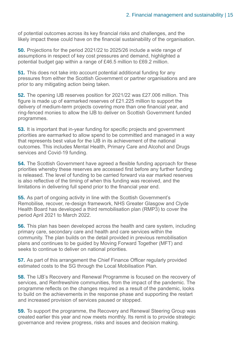of potential outcomes across its key financial risks and challenges, and the likely impact these could have on the financial sustainability of the organisation.

**50.** Projections for the period 2021/22 to 2025/26 include a wide range of assumptions in respect of key cost pressures and demand, highlighted a potential budget gap within a range of £46.5 million to £69.2 million.

**51.** This does not take into account potential additional funding for any pressures from either the Scottish Government or partner organisations and are prior to any mitigating action being taken.

**52.** The opening IJB reserves position for 2021/22 was £27.006 million. This figure is made up of earmarked reserves of £21.225 million to support the delivery of medium-term projects covering more than one financial year, and ring-fenced monies to allow the IJB to deliver on Scottish Government funded programmes.

**53.** It is important that in-year funding for specific projects and government priorities are earmarked to allow spend to be committed and managed in a way that represents best value for the IJB in its achievement of the national outcomes. This includes Mental Health, Primary Care and Alcohol and Drugs services and Covid-19 funding.

**54.** The Scottish Government have agreed a flexible funding approach for these priorities whereby these reserves are accessed first before any further funding is released. The level of funding to be carried forward via ear marked reserves is also reflective of the timing of when this funding was received, and the limitations in delivering full spend prior to the financial year end.

**55.** As part of ongoing activity in line with the Scottish Government's Remobilise, recover, re-design framework, NHS Greater Glasgow and Clyde Health Board has developed a third remobilisation plan (RMP3) to cover the period April 2021 to March 2022.

**56.** This plan has been developed across the health and care system, including primary care, secondary care and health and care services within the community. The plan builds on the detail provided in previous remobilisation plans and continues to be guided by Moving Forward Together (MFT) and seeks to continue to deliver on national priorities.

**57.** As part of this arrangement the Chief Finance Officer regularly provided estimated costs to the SG through the Local Mobilisation Plan.

**58.** The IJB's Recovery and Renewal Programme is focused on the recovery of services, and Renfrewshire communities, from the impact of the pandemic. The programme reflects on the changes required as a result of the pandemic, looks to build on the achievements in the response phase and supporting the restart and increased provision of services paused or stopped.

**59.** To support the programme, the Recovery and Renewal Steering Group was created earlier this year and now meets monthly. Its remit is to provide strategic governance and review progress, risks and issues and decision making.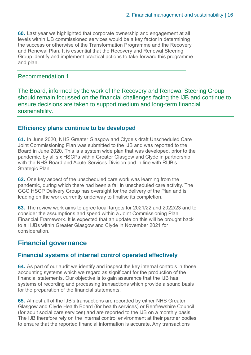**60.** Last year we highlighted that corporate ownership and engagement at all levels within IJB commissioned services would be a key factor in determining the success or otherwise of the Transformation Programme and the Recovery and Renewal Plan. It is essential that the Recovery and Renewal Steering Group identify and implement practical actions to take forward this programme and plan.

#### Recommendation 1

The Board, informed by the work of the Recovery and Renewal Steering Group should remain focussed on the financial challenges facing the IJB and continue to ensure decisions are taken to support medium and long-term financial sustainability.

#### **Efficiency plans continue to be developed**

**61.** In June 2020, NHS Greater Glasgow and Clyde's draft Unscheduled Care Joint Commissioning Plan was submitted to the IJB and was reported to the Board in June 2020. This is a system wide plan that was developed, prior to the pandemic, by all six HSCPs within Greater Glasgow and Clyde in partnership with the NHS Board and Acute Services Division and in line with RIJB's Strategic Plan.

**62.** One key aspect of the unscheduled care work was learning from the pandemic, during which there had been a fall in unscheduled care activity. The GGC HSCP Delivery Group has oversight for the delivery of the Plan and is leading on the work currently underway to finalise its completion.

**63.** The review work aims to agree local targets for 2021/22 and 2022/23 and to consider the assumptions and spend within a Joint Commissioning Plan Financial Framework. It is expected that an update on this will be brought back to all IJBs within Greater Glasgow and Clyde in November 2021 for consideration.

#### **Financial governance**

#### **Financial systems of internal control operated effectively**

**64.** As part of our audit we identify and inspect the key internal controls in those accounting systems which we regard as significant for the production of the financial statements. Our objective is to gain assurance that the IJB has systems of recording and processing transactions which provide a sound basis for the preparation of the financial statements.

**65.** Almost all of the IJB's transactions are recorded by either NHS Greater Glasgow and Clyde Health Board (for health services) or Renfrewshire Council (for adult social care services) and are reported to the IJB on a monthly basis. The IJB therefore rely on the internal control environment at their partner bodies to ensure that the reported financial information is accurate. Any transactions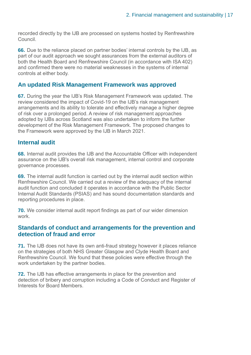recorded directly by the IJB are processed on systems hosted by Renfrewshire Council.

**66.** Due to the reliance placed on partner bodies' internal controls by the IJB, as part of our audit approach we sought assurances from the external auditors of both the Health Board and Renfrewshire Council (in accordance with ISA 402) and confirmed there were no material weaknesses in the systems of internal controls at either body.

#### **An updated Risk Management Framework was approved**

**67.** During the year the IJB's Risk Management Framework was updated. The review considered the impact of Covid-19 on the IJB's risk management arrangements and its ability to tolerate and effectively manage a higher degree of risk over a prolonged period. A review of risk management approaches adopted by IJBs across Scotland was also undertaken to inform the further development of the Risk Management Framework. The proposed changes to the Framework were approved by the IJB in March 2021.

#### **Internal audit**

**68.** Internal audit provides the IJB and the Accountable Officer with independent assurance on the IJB's overall risk management, internal control and corporate governance processes.

**69.** The internal audit function is carried out by the internal audit section within Renfrewshire Council. We carried out a review of the adequacy of the internal audit function and concluded it operates in accordance with the Public Sector Internal Audit Standards (PSIAS) and has sound documentation standards and reporting procedures in place.

**70.** We consider internal audit report findings as part of our wider dimension work.

#### **Standards of conduct and arrangements for the prevention and detection of fraud and error**

**71.** The IJB does not have its own anti-fraud strategy however it places reliance on the strategies of both NHS Greater Glasgow and Clyde Health Board and Renfrewshire Council. We found that these policies were effective through the work undertaken by the partner bodies.

**72.** The IJB has effective arrangements in place for the prevention and detection of bribery and corruption including a Code of Conduct and Register of Interests for Board Members.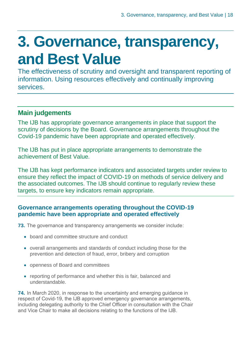## <span id="page-17-0"></span>**3. Governance, transparency, and Best Value**

The effectiveness of scrutiny and oversight and transparent reporting of information. Using resources effectively and continually improving services.

### **Main judgements**

The IJB has appropriate governance arrangements in place that support the scrutiny of decisions by the Board. Governance arrangements throughout the Covid-19 pandemic have been appropriate and operated effectively.

The IJB has put in place appropriate arrangements to demonstrate the achievement of Best Value.

The IJB has kept performance indicators and associated targets under review to ensure they reflect the impact of COVID-19 on methods of service delivery and the associated outcomes. The IJB should continue to regularly review these targets, to ensure key indicators remain appropriate.

#### **Governance arrangements operating throughout the COVID-19 pandemic have been appropriate and operated effectively**

**73.** The governance and transparency arrangements we consider include:

- board and committee structure and conduct
- overall arrangements and standards of conduct including those for the prevention and detection of fraud, error, bribery and corruption
- openness of Board and committees
- reporting of performance and whether this is fair, balanced and understandable.

**74.** In March 2020, in response to the uncertainty and emerging guidance in respect of Covid-19, the IJB approved emergency governance arrangements, including delegating authority to the Chief Officer in consultation with the Chair and Vice Chair to make all decisions relating to the functions of the IJB.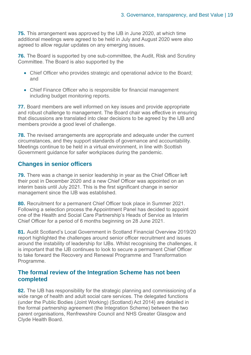**75.** This arrangement was approved by the IJB in June 2020, at which time additional meetings were agreed to be held in July and August 2020 were also agreed to allow regular updates on any emerging issues.

**76.** The Board is supported by one sub-committee, the Audit, Risk and Scrutiny Committee. The Board is also supported by the

- Chief Officer who provides strategic and operational advice to the Board; and
- Chief Finance Officer who is responsible for financial management including budget monitoring reports.

**77.** Board members are well informed on key issues and provide appropriate and robust challenge to management. The Board chair was effective in ensuring that discussions are translated into clear decisions to be agreed by the IJB and members provide a good level of challenge.

**78.** The revised arrangements are appropriate and adequate under the current circumstances, and they support standards of governance and accountability. Meetings continue to be held in a virtual environment, in line with Scottish Government guidance for safer workplaces during the pandemic.

#### **Changes in senior officers**

**79.** There was a change in senior leadership in year as the Chief Officer left their post in December 2020 and a new Chief Officer was appointed on an interim basis until July 2021. This is the first significant change in senior management since the IJB was established.

**80.** Recruitment for a permanent Chief Officer took place in Summer 2021. Following a selection process the Appointment Panel has decided to appoint one of the Health and Social Care Partnership's Heads of Service as Interim Chief Officer for a period of 6 months beginning on 28 June 2021.

**81.** Audit Scotland's [Local Government in Scotland Financial Overview 2019/20](https://www.audit-scotland.gov.uk/uploads/docs/report/2021/nr_210126_local_government_finance.pdf)  [report](https://www.audit-scotland.gov.uk/uploads/docs/report/2021/nr_210126_local_government_finance.pdf) highlighted the challenges around senior officer recruitment and issues around the instability of leadership for IJBs. Whilst recognising the challenges, it is important that the IJB continues to look to secure a permanent Chief Officer to take forward the Recovery and Renewal Programme and Transformation Programme.

#### **The formal review of the Integration Scheme has not been completed**

**82.** The IJB has responsibility for the strategic planning and commissioning of a wide range of health and adult social care services. The delegated functions (under the Public Bodies (Joint Working) (Scotland) Act 2014} are detailed in the formal partnership agreement (the Integration Scheme) between the two parent organisations, Renfrewshire Council and NHS Greater Glasgow and Clyde Health Board.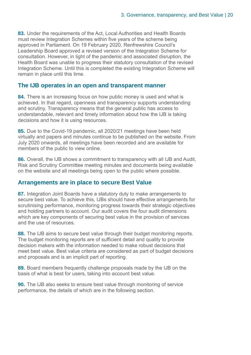**83.** Under the requirements of the Act, Local Authorities and Health Boards must review Integration Schemes within five years of the scheme being approved in Parliament. On 19 February 2020, Renfrewshire Council's Leadership Board approved a revised version of the Integration Scheme for consultation. However, in light of the pandemic and associated disruption, the Health Board was unable to progress their statutory consultation of the revised Integration Scheme. Until this is completed the existing Integration Scheme will remain in place until this time.

#### **The IJB operates in an open and transparent manner**

**84.** There is an increasing focus on how public money is used and what is achieved. In that regard, openness and transparency supports understanding and scrutiny. Transparency means that the general public has access to understandable, relevant and timely information about how the IJB is taking decisions and how it is using resources.

**85.** Due to the Covid-19 pandemic, all 2020/21 meetings have been held virtually and papers and minutes continue to be published on the website. From July 2020 onwards, all meetings have been recorded and are available for members of the public to view online.

**86.** Overall, the IJB shows a commitment to transparency with all IJB and Audit. Risk and Scrutiny Committee meeting minutes and documents being available on the website and all meetings being open to the public where possible.

#### **Arrangements are in place to secure Best Value**

**87.** Integration Joint Boards have a statutory duty to make arrangements to secure best value. To achieve this, IJBs should have effective arrangements for scrutinising performance, monitoring progress towards their strategic objectives and holding partners to account. Our audit covers the four audit dimensions which are key components of securing best value in the provision of services and the use of resources.

**88.** The IJB aims to secure best value through their budget monitoring reports. The budget monitoring reports are of sufficient detail and quality to provide decision makers with the information needed to make robust decisions that meet best value. Best value criteria are considered as part of budget decisions and proposals and is an implicit part of reporting.

**89.** Board members frequently challenge proposals made by the IJB on the basis of what is best for users, taking into account best value.

**90.** The IJB also seeks to ensure best value through monitoring of service performance, the details of which are in the following section.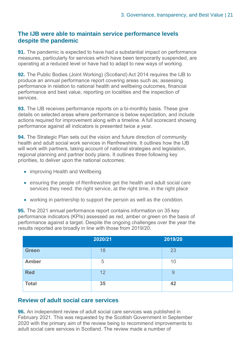#### **The IJB were able to maintain service performance levels despite the pandemic**

**91.** The pandemic is expected to have had a substantial impact on performance measures, particularly for services which have been temporarily suspended, are operating at a reduced level or have had to adapt to new ways of working.

**92.** The Public Bodies (Joint Working) (Scotland) Act 2014 requires the IJB to produce an annual performance report covering areas such as; assessing performance in relation to national health and wellbeing outcomes, financial performance and best value, reporting on localities and the inspection of services.

**93.** The IJB receives performance reports on a bi-monthly basis. These give details on selected areas where performance is below expectation, and include actions required for improvement along with a timeline. A full scorecard showing performance against all indicators is presented twice a year.

**94.** The Strategic Plan sets out the vision and future direction of community health and adult social work services in Renfrewshire. It outlines how the IJB will work with partners, taking account of national strategies and legislation, regional planning and partner body plans. It outlines three following key priorities, to deliver upon the national outcomes:

- improving Health and Wellbeing
- ensuring the people of Renfrewshire get the health and adult social care services they need: the right service, at the right time, in the right place
- working in partnership to support the person as well as the condition.

**95.** The 2021 annual performance report contains information on 35 key performance indicators (KPIs) assessed as red, amber or green on the basis of performance against a target. Despite the ongoing challenges over the year the results reported are broadly in line with those from 2019/20.

|              | 2020/21 | 2019/20 |
|--------------|---------|---------|
| <b>Green</b> | 18      | 23      |
| <b>Amber</b> | 5       | 10      |
| <b>Red</b>   | 12      | 9       |
| <b>Total</b> | 35      | 42      |

#### **Review of adult social care services**

**96.** An independent review of adult social care services was published in February 2021. This was requested by the Scottish Government in September 2020 with the primary aim of the review being to recommend improvements to adult social care services in Scotland. The review made a number of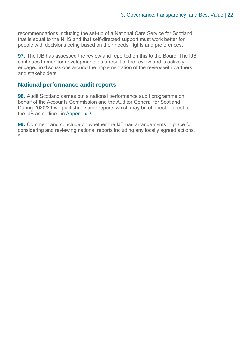recommendations including the set-up of a National Care Service for Scotland that is equal to the NHS and that self-directed support must work better for people with decisions being based on their needs, rights and preferences.

**97.** The IJB has assessed the review and reported on this to the Board. The IJB continues to monitor developments as a result of the review and is actively engaged in discussions around the implementation of the review with partners and stakeholders.

#### **National performance audit reports**

**98.** Audit Scotland carries out a national performance audit programme on behalf of the Accounts Commission and the Auditor General for Scotland. During 2020/21 we published some reports which may be of direct interest to the IJB as outlined in [Appendix 3.](#page-27-0)

**99.** Comment and conclude on whether the IJB has arrangements in place for considering and reviewing national reports including any locally agreed actions. \*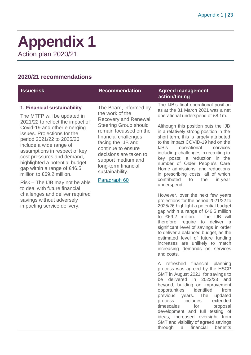### <span id="page-22-0"></span>**Appendix 1** Action plan 2020/21

#### **2020/21 recommendations**

#### **1. Financial sustainability**

The MTFP will be updated in 2021/22 to reflect the impact of Covid-19 and other emerging issues. Projections for the period 2021/22 to 2025/26 include a wide range of assumptions in respect of key cost pressures and demand, highlighted a potential budget gap within a range of £46.5 million to £69.2 million.

Risk – The IJB may not be able to deal with future financial challenges and deliver required savings without adversely impacting service delivery.

The Board, informed by the work of the Recovery and Renewal Steering Group should remain focussed on the financial challenges facing the IJB and continue to ensure decisions are taken to support medium and long-term financial sustainability.

Paragraph 60

#### **Issue/risk Recommendation Agreed management action/timing**

The IJB's final operational position as at the 31 March 2021 was a net operational underspend of £8.1m.

Although this position puts the IJB in a relatively strong position in the short term, this is largely attributed to the impact COVID-19 had on the IJB's operational services including: challenges in recruiting to key posts; a reduction in the number of Older People's Care Home admissions; and reductions in prescribing costs, all of which contributed to the in-year underspend.

However, over the next few years projections for the period 2021/22 to 2025/26 highlight a potential budget gap within a range of £46.5 million to £69.2 million. The IJB will therefore require to deliver a significant level of savings in order to deliver a balanced budget, as the estimated level of future funding increases are unlikely to match increasing demands on services and costs.

A refreshed financial planning process was agreed by the HSCP SMT in August 2021, for savings to be delivered in 2022/23 and beyond, building on improvement opportunities identified from previous years. The updated process includes extended timescales for proposal development and full testing of ideas, increased oversight from SMT and visibility of agreed savings through a financial benefits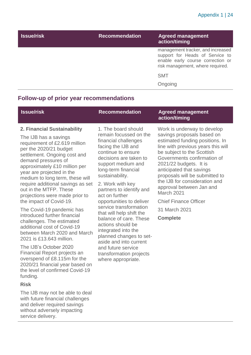| <b>Issue/risk</b> | <b>Recommendation</b> | <b>Agreed management</b><br>action/timing                                                                                                     |
|-------------------|-----------------------|-----------------------------------------------------------------------------------------------------------------------------------------------|
|                   |                       | management tracker, and increased<br>support for Heads of Service to<br>enable early course correction or<br>risk management, where required. |
|                   |                       | <b>SMT</b>                                                                                                                                    |
|                   |                       | Ongoing                                                                                                                                       |

#### **Follow-up of prior year recommendations**

| <b>Issue/risk</b>                                                                                                                                                                                                                                                                                                                                                        | <b>Recommendation</b>                                                                                                                                                                                                                                                         | <b>Agreed management</b><br>action/timing                                                                                                                                                                                                                                                                                                                          |
|--------------------------------------------------------------------------------------------------------------------------------------------------------------------------------------------------------------------------------------------------------------------------------------------------------------------------------------------------------------------------|-------------------------------------------------------------------------------------------------------------------------------------------------------------------------------------------------------------------------------------------------------------------------------|--------------------------------------------------------------------------------------------------------------------------------------------------------------------------------------------------------------------------------------------------------------------------------------------------------------------------------------------------------------------|
| 2. Financial Sustainability<br>The IJB has a savings<br>requirement of £2.619 million<br>per the 2020/21 budget<br>settlement. Ongoing cost and<br>demand pressures of<br>approximately £10 million per<br>year are projected in the<br>medium to long term, these will<br>require additional savings as set<br>out in the MTFP. These<br>projections were made prior to | 1. The board should<br>remain focussed on the<br>financial challenges<br>facing the IJB and<br>continue to ensure<br>decisions are taken to<br>support medium and<br>long-term financial<br>sustainability.<br>2. Work with key<br>partners to identify and<br>act on further | Work is underway to develop<br>savings proposals based on<br>estimated funding positions. In<br>line with previous years this will<br>be subject to the Scottish<br>Governments confirmation of<br>2021/22 budgets. It is<br>anticipated that savings<br>proposals will be submitted to<br>the IJB for consideration and<br>approval between Jan and<br>March 2021 |
| the impact of Covid-19.                                                                                                                                                                                                                                                                                                                                                  | opportunities to deliver                                                                                                                                                                                                                                                      | <b>Chief Finance Officer</b>                                                                                                                                                                                                                                                                                                                                       |

Chief Finance Officer

31 March 2021

**Complete**

The Covid-19 pandemic has introduced further financial challenges. The estimated additional cost of Covid-19 between March 2020 and March 2021 is £13.643 million.

The IJB's October 2020 Financial Report projects an overspend of £8.115m for the 2020/21 financial year based on the level of confirmed Covid-19 funding.

#### **Risk**

The IJB may not be able to deal with future financial challenges and deliver required savings without adversely impacting service delivery.

opportunities to deliver service transformation that will help shift the balance of care. These actions should be integrated into the planned changes to setaside and into current and future service transformation projects where appropriate.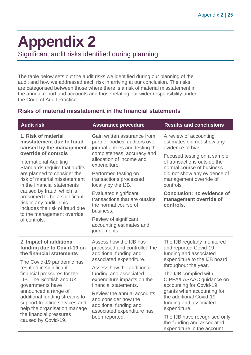## <span id="page-24-0"></span>**Appendix 2**

Significant audit risks identified during planning

The table below sets out the audit risks we identified during our planning of the audit and how we addressed each risk in arriving at our conclusion. The risks are categorised between those where there is a risk of material misstatement in the annual report and accounts and those relating our wider responsibility under the Code of Audit Practice.

#### **Risks of material misstatement in the financial statements**

| <b>Audit risk</b>                                                                                                                                             | <b>Assurance procedure</b>                                                                                                    | <b>Results and conclusions</b>                                                                                                                                 |  |
|---------------------------------------------------------------------------------------------------------------------------------------------------------------|-------------------------------------------------------------------------------------------------------------------------------|----------------------------------------------------------------------------------------------------------------------------------------------------------------|--|
| 1. Risk of material<br>misstatement due to fraud<br>caused by the management<br>override of controls                                                          | Gain written assurance from<br>partner bodies' auditors over<br>journal entries and testing the<br>completeness, accuracy and | A review of accounting<br>estimates did not show any<br>evidence of bias.                                                                                      |  |
| <b>International Auditing</b><br>Standards require that audits<br>are planned to consider the<br>risk of material misstatement<br>in the financial statements | allocation of income and<br>expenditure.<br>Performed testing on<br>transactions processed<br>locally by the IJB.             | Focused testing on a sample<br>of transactions outside the<br>normal course of business<br>did not show any evidence of<br>management override of<br>controls. |  |
| caused by fraud, which is<br>presumed to be a significant<br>risk in any audit. This<br>includes the risk of fraud due<br>to the management override          | <b>Evaluated significant</b><br>transactions that are outside<br>the normal course of<br>business.                            | <b>Conclusion: no evidence of</b><br>management override of<br>controls.                                                                                       |  |
| of controls.                                                                                                                                                  | Review of significant<br>accounting estimates and<br>judgements.                                                              |                                                                                                                                                                |  |
| 2. Impact of additional<br>funding due to Covid-19 on<br>the financial statements                                                                             | Assess how the IJB has<br>processed and controlled the<br>additional funding and                                              | The IJB regularly monitored<br>and reported Covid-19<br>funding and associated                                                                                 |  |
| The Covid-19 pandemic has<br>resulted in significant                                                                                                          | associated expenditure.                                                                                                       | expenditure to the IJB board<br>throughout the year.                                                                                                           |  |
| financial pressures for the<br>IJB. The Scottish and UK<br>governments have                                                                                   | Assess how the additional<br>funding and associated<br>expenditure impacts on the<br>financial statements.                    | The IJB complied with<br>CIPFA/LASAAC guidance on<br>accounting for Covid-19                                                                                   |  |
| announced a range of<br>additional funding streams to<br>support frontline services and<br>help the organisation manage                                       | Review the annual accounts<br>and consider how the<br>additional funding and<br>associated expenditure has                    | grants when accounting for<br>the additional Covid-19<br>funding and associated<br>expenditure.                                                                |  |
| the financial pressures<br>caused by Covid-19.                                                                                                                | been reported.                                                                                                                | The IJB have recognised only<br>the funding and associated<br>expenditure in the account                                                                       |  |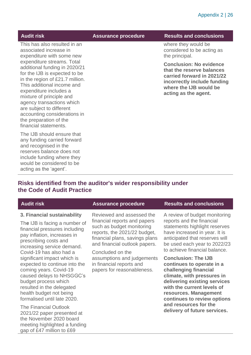This has also resulted in an associated increase in expenditure with some new expenditure streams. Total additional funding in 2020/21 for the IJB is expected to be in the region of £21.7 million. This additional income and expenditure includes a mixture of principle and agency transactions which are subject to different accounting considerations in the preparation of the financial statements.

The IJB should ensure that any funding carried forward and recognised in the reserves balance does not include funding where they would be considered to be acting as the 'agent'.

#### **Audit risk Assurance procedure Results and conclusions**

where they would be considered to be acting as the principal.

**Conclusion: No evidence that the reserve balances carried forward in 2021/22 incorrectly include funding where the IJB would be acting as the agent.** 

#### **Risks identified from the auditor's wider responsibility under the Code of Audit Practice**

#### **3. Financial sustainability**

Th**e** IJB is facing a number of financial pressures including pay inflation, increases in prescribing costs and increasing service demand. Covid-19 has also had a significant impact which is expected to continue into the coming years. Covid-19 caused delays to NHSGGC's budget process which resulted in the delegated health budget not being formalised until late 2020.

The Financial Outlook 2021/22 paper presented at the November 2020 board meeting highlighted a funding gap of £47 million to £69

Reviewed and assessed the financial reports and papers such as budget monitoring reports, the 2021/22 budget, financial plans, savings plans and financial outlook papers.

Concluded on the assumptions and judgements in financial reports and papers for reasonableness.

#### **Assurance procedure Results and conclusions**

A review of budget monitoring reports and the financial statements highlight reserves have increased in year. It is anticipated that reserves will be used each year to 2022/23 to achieve financial balance.

**Conclusion: The IJB continues to operate in a challenging financial climate, with pressures in delivering existing services with the current levels of resources. Management continues to review options and resources for the delivery of future services.**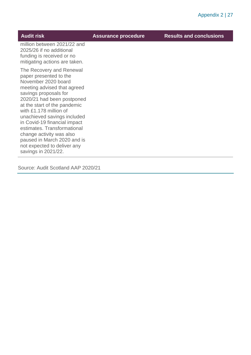| <b>Audit risk</b>                                                                                                                                                                                                                                                                                                                                                                                                                        | <b>Assurance procedure</b> | <b>Results and conclusions</b> |
|------------------------------------------------------------------------------------------------------------------------------------------------------------------------------------------------------------------------------------------------------------------------------------------------------------------------------------------------------------------------------------------------------------------------------------------|----------------------------|--------------------------------|
| million between 2021/22 and<br>2025/26 if no additional<br>funding is received or no<br>mitigating actions are taken.                                                                                                                                                                                                                                                                                                                    |                            |                                |
| The Recovery and Renewal<br>paper presented to the<br>November 2020 board<br>meeting advised that agreed<br>savings proposals for<br>2020/21 had been postponed<br>at the start of the pandemic<br>with £1.178 million of<br>unachieved savings included<br>in Covid-19 financial impact<br>estimates. Transformational<br>change activity was also<br>paused in March 2020 and is<br>not expected to deliver any<br>savings in 2021/22. |                            |                                |
|                                                                                                                                                                                                                                                                                                                                                                                                                                          |                            |                                |

Source: Audit Scotland AAP 2020/21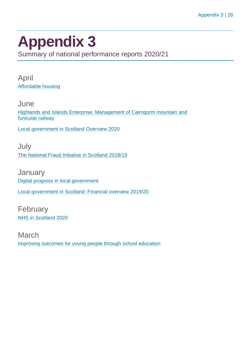## <span id="page-27-0"></span>**Appendix 3**

Summary of national performance reports 2020/21

April [Affordable housing](https://www.audit-scotland.gov.uk/report/affordable-housing)

**June** [Highlands and Islands Enterprise: Management of Cairngorm mountain and](https://www.audit-scotland.gov.uk/report/highlands-and-islands-enterprise-management-of-cairngorm-mountain-and-funicular-railway)  [funicular railway](https://www.audit-scotland.gov.uk/report/highlands-and-islands-enterprise-management-of-cairngorm-mountain-and-funicular-railway)

[Local government in Scotland Overview 2020](https://www.audit-scotland.gov.uk/report/local-government-in-scotland-overview-2020)

July [The National Fraud Initiative in Scotland 2018/19](https://www.audit-scotland.gov.uk/report/the-national-fraud-initiative-in-scotland-201819)

**January** [Digital progress in local government](https://www.audit-scotland.gov.uk/report/digital-progress-in-local-government) [Local government in Scotland: Financial overview 2019/20](https://www.audit-scotland.gov.uk/report/local-government-in-scotland-financial-overview-201920)

February [NHS in Scotland 2020](https://www.audit-scotland.gov.uk/report/nhs-in-scotland-2020)

March [Improving outcomes for young people through school education](https://www.audit-scotland.gov.uk/report/improving-outcomes-for-young-people-through-school-education)